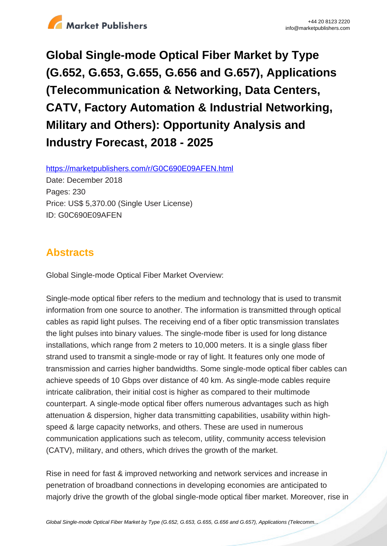

**Global Single-mode Optical Fiber Market by Type (G.652, G.653, G.655, G.656 and G.657), Applications (Telecommunication & Networking, Data Centers, CATV, Factory Automation & Industrial Networking, Military and Others): Opportunity Analysis and Industry Forecast, 2018 - 2025** 

https://marketpublishers.com/r/G0C690E09AFEN.html

Date: December 2018 Pages: 230 Price: US\$ 5,370.00 (Single User License) ID: G0C690E09AFEN

# **Abstracts**

Global Single-mode Optical Fiber Market Overview:

Single-mode optical fiber refers to the medium and technology that is used to transmit information from one source to another. The information is transmitted through optical cables as rapid light pulses. The receiving end of a fiber optic transmission translates the light pulses into binary values. The single-mode fiber is used for long distance installations, which range from 2 meters to 10,000 meters. It is a single glass fiber strand used to transmit a single-mode or ray of light. It features only one mode of transmission and carries higher bandwidths. Some single-mode optical fiber cables can achieve speeds of 10 Gbps over distance of 40 km. As single-mode cables require intricate calibration, their initial cost is higher as compared to their multimode counterpart. A single-mode optical fiber offers numerous advantages such as high attenuation & dispersion, higher data transmitting capabilities, usability within highspeed & large capacity networks, and others. These are used in numerous communication applications such as telecom, utility, community access television (CATV), military, and others, which drives the growth of the market.

Rise in need for fast & improved networking and network services and increase in penetration of broadband connections in developing economies are anticipated to majorly drive the growth of the global single-mode optical fiber market. Moreover, rise in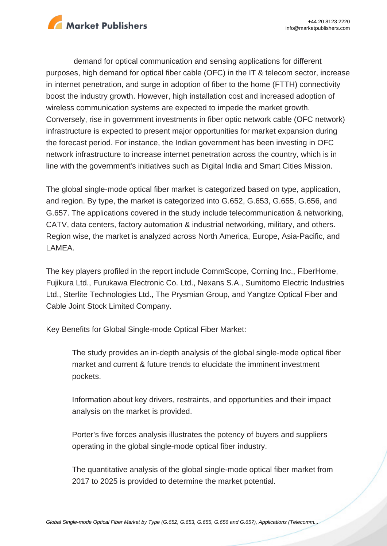

demand for optical communication and sensing applications for different purposes, high demand for optical fiber cable (OFC) in the IT & telecom sector, increase in internet penetration, and surge in adoption of fiber to the home (FTTH) connectivity boost the industry growth. However, high installation cost and increased adoption of wireless communication systems are expected to impede the market growth. Conversely, rise in government investments in fiber optic network cable (OFC network) infrastructure is expected to present major opportunities for market expansion during the forecast period. For instance, the Indian government has been investing in OFC network infrastructure to increase internet penetration across the country, which is in line with the government's initiatives such as Digital India and Smart Cities Mission.

The global single-mode optical fiber market is categorized based on type, application, and region. By type, the market is categorized into G.652, G.653, G.655, G.656, and G.657. The applications covered in the study include telecommunication & networking, CATV, data centers, factory automation & industrial networking, military, and others. Region wise, the market is analyzed across North America, Europe, Asia-Pacific, and LAMEA.

The key players profiled in the report include CommScope, Corning Inc., FiberHome, Fujikura Ltd., Furukawa Electronic Co. Ltd., Nexans S.A., Sumitomo Electric Industries Ltd., Sterlite Technologies Ltd., The Prysmian Group, and Yangtze Optical Fiber and Cable Joint Stock Limited Company.

Key Benefits for Global Single-mode Optical Fiber Market:

The study provides an in-depth analysis of the global single-mode optical fiber market and current & future trends to elucidate the imminent investment pockets.

Information about key drivers, restraints, and opportunities and their impact analysis on the market is provided.

Porter's five forces analysis illustrates the potency of buyers and suppliers operating in the global single-mode optical fiber industry.

The quantitative analysis of the global single-mode optical fiber market from 2017 to 2025 is provided to determine the market potential.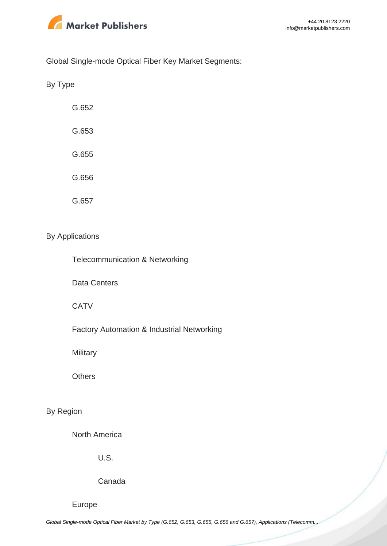

Global Single-mode Optical Fiber Key Market Segments:

By Type

G.652 G.653 G.655 G.656 G.657

#### By Applications

Telecommunication & Networking

Data Centers

**CATV** 

Factory Automation & Industrial Networking

**Military** 

**Others** 

By Region

North America

U.S.

Canada

Europe

[Global Single-mode Optical Fiber Market by Type \(G.652, G.653, G.655, G.656 and G.657\), Applications \(Telecomm...](https://marketpublishers.com/report/hardware/networking_hardware/global-single-mode-optical-fiber-market-by-type-applications-opportunity-analysis-industry-2018-2025.html)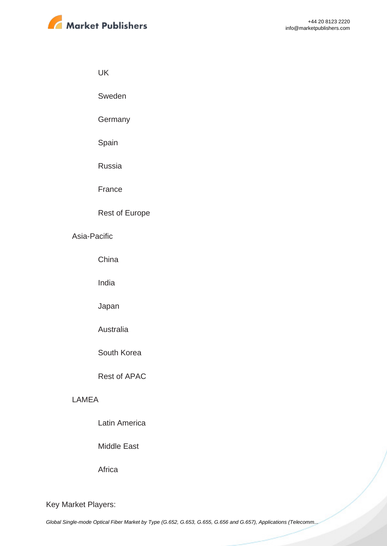

UK

Sweden

**Germany** 

Spain

Russia

France

### Rest of Europe

#### Asia-Pacific

China

India

Japan

Australia

South Korea

Rest of APAC

#### LAMEA

Latin America

Middle East

Africa

Key Market Players: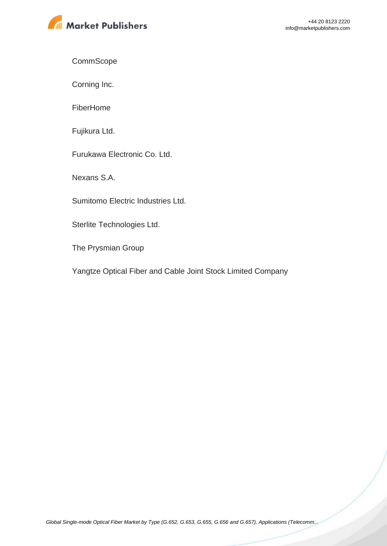

**CommScope** 

Corning Inc.

FiberHome

Fujikura Ltd.

Furukawa Electronic Co. Ltd.

Nexans S.A.

Sumitomo Electric Industries Ltd.

Sterlite Technologies Ltd.

The Prysmian Group

Yangtze Optical Fiber and Cable Joint Stock Limited Company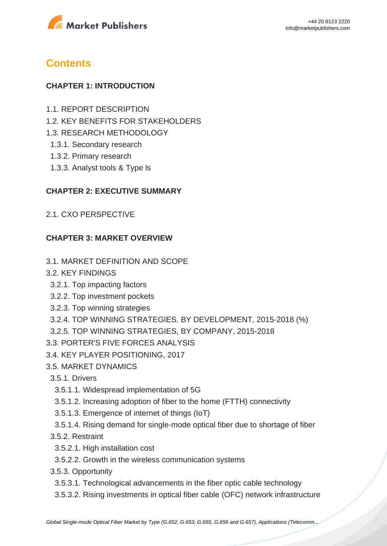

# **Contents**

### **CHAPTER 1: INTRODUCTION**

- 1.1. REPORT DESCRIPTION
- 1.2. KEY BENEFITS FOR STAKEHOLDERS
- 1.3. RESEARCH METHODOLOGY
- 1.3.1. Secondary research
- 1.3.2. Primary research
- 1.3.3. Analyst tools & Type ls

## **CHAPTER 2: EXECUTIVE SUMMARY**

2.1. CXO PERSPECTIVE

## **CHAPTER 3: MARKET OVERVIEW**

- 3.1. MARKET DEFINITION AND SCOPE
- 3.2. KEY FINDINGS
	- 3.2.1. Top impacting factors
	- 3.2.2. Top investment pockets
	- 3.2.3. Top winning strategies
	- 3.2.4. TOP WINNING STRATEGIES, BY DEVELOPMENT, 2015-2018 (%)
- 3.2.5. TOP WINNING STRATEGIES, BY COMPANY, 2015-2018
- 3.3. PORTER'S FIVE FORCES ANALYSIS
- 3.4. KEY PLAYER POSITIONING, 2017
- 3.5. MARKET DYNAMICS
	- 3.5.1. Drivers
		- 3.5.1.1. Widespread implementation of 5G
	- 3.5.1.2. Increasing adoption of fiber to the home (FTTH) connectivity
	- 3.5.1.3. Emergence of internet of things (IoT)
	- 3.5.1.4. Rising demand for single-mode optical fiber due to shortage of fiber
	- 3.5.2. Restraint
		- 3.5.2.1. High installation cost
		- 3.5.2.2. Growth in the wireless communication systems
	- 3.5.3. Opportunity
		- 3.5.3.1. Technological advancements in the fiber optic cable technology
	- 3.5.3.2. Rising investments in optical fiber cable (OFC) network infrastructure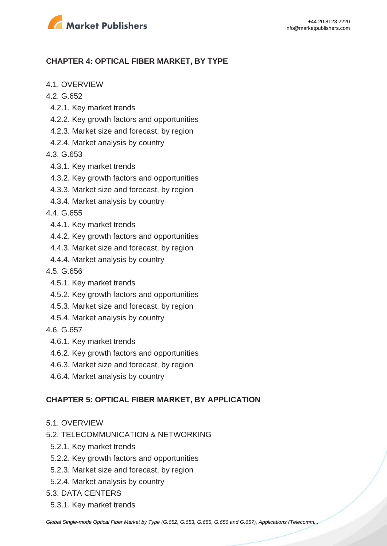

## **CHAPTER 4: OPTICAL FIBER MARKET, BY TYPE**

#### 4.1. OVERVIEW

4.2. G.652

- 4.2.1. Key market trends
- 4.2.2. Key growth factors and opportunities
- 4.2.3. Market size and forecast, by region
- 4.2.4. Market analysis by country
- 4.3. G.653
- 4.3.1. Key market trends
- 4.3.2. Key growth factors and opportunities
- 4.3.3. Market size and forecast, by region
- 4.3.4. Market analysis by country
- 4.4. G.655
	- 4.4.1. Key market trends
	- 4.4.2. Key growth factors and opportunities
	- 4.4.3. Market size and forecast, by region
- 4.4.4. Market analysis by country
- 4.5. G.656
	- 4.5.1. Key market trends
	- 4.5.2. Key growth factors and opportunities
	- 4.5.3. Market size and forecast, by region
- 4.5.4. Market analysis by country

4.6. G.657

- 4.6.1. Key market trends
- 4.6.2. Key growth factors and opportunities
- 4.6.3. Market size and forecast, by region
- 4.6.4. Market analysis by country

#### **CHAPTER 5: OPTICAL FIBER MARKET, BY APPLICATION**

- 5.1. OVERVIEW
- 5.2. TELECOMMUNICATION & NETWORKING
	- 5.2.1. Key market trends
	- 5.2.2. Key growth factors and opportunities
	- 5.2.3. Market size and forecast, by region
	- 5.2.4. Market analysis by country
- 5.3. DATA CENTERS
	- 5.3.1. Key market trends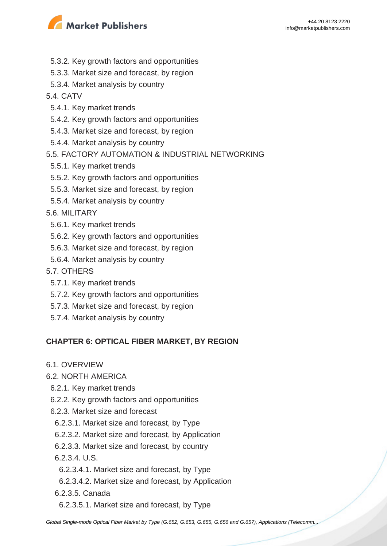

- 5.3.2. Key growth factors and opportunities
- 5.3.3. Market size and forecast, by region
- 5.3.4. Market analysis by country
- 5.4. CATV
	- 5.4.1. Key market trends
	- 5.4.2. Key growth factors and opportunities
	- 5.4.3. Market size and forecast, by region
	- 5.4.4. Market analysis by country
- 5.5. FACTORY AUTOMATION & INDUSTRIAL NETWORKING
	- 5.5.1. Key market trends
	- 5.5.2. Key growth factors and opportunities
	- 5.5.3. Market size and forecast, by region
	- 5.5.4. Market analysis by country
- 5.6. MILITARY
	- 5.6.1. Key market trends
	- 5.6.2. Key growth factors and opportunities
	- 5.6.3. Market size and forecast, by region
- 5.6.4. Market analysis by country
- 5.7. OTHERS
	- 5.7.1. Key market trends
	- 5.7.2. Key growth factors and opportunities
	- 5.7.3. Market size and forecast, by region
	- 5.7.4. Market analysis by country

#### **CHAPTER 6: OPTICAL FIBER MARKET, BY REGION**

- 6.1. OVERVIEW
- 6.2. NORTH AMERICA
- 6.2.1. Key market trends
- 6.2.2. Key growth factors and opportunities
- 6.2.3. Market size and forecast
- 6.2.3.1. Market size and forecast, by Type
- 6.2.3.2. Market size and forecast, by Application
- 6.2.3.3. Market size and forecast, by country
- 6.2.3.4. U.S.
- 6.2.3.4.1. Market size and forecast, by Type
- 6.2.3.4.2. Market size and forecast, by Application
- 6.2.3.5. Canada
- 6.2.3.5.1. Market size and forecast, by Type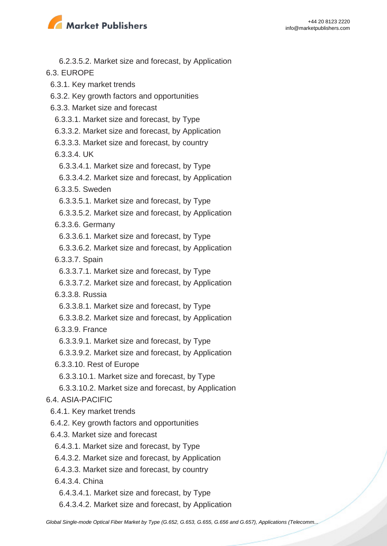

 6.2.3.5.2. Market size and forecast, by Application 6.3. EUROPE 6.3.1. Key market trends 6.3.2. Key growth factors and opportunities 6.3.3. Market size and forecast 6.3.3.1. Market size and forecast, by Type 6.3.3.2. Market size and forecast, by Application 6.3.3.3. Market size and forecast, by country 6.3.3.4. UK 6.3.3.4.1. Market size and forecast, by Type 6.3.3.4.2. Market size and forecast, by Application 6.3.3.5. Sweden 6.3.3.5.1. Market size and forecast, by Type 6.3.3.5.2. Market size and forecast, by Application 6.3.3.6. Germany 6.3.3.6.1. Market size and forecast, by Type 6.3.3.6.2. Market size and forecast, by Application 6.3.3.7. Spain 6.3.3.7.1. Market size and forecast, by Type 6.3.3.7.2. Market size and forecast, by Application 6.3.3.8. Russia 6.3.3.8.1. Market size and forecast, by Type 6.3.3.8.2. Market size and forecast, by Application 6.3.3.9. France 6.3.3.9.1. Market size and forecast, by Type 6.3.3.9.2. Market size and forecast, by Application 6.3.3.10. Rest of Europe 6.3.3.10.1. Market size and forecast, by Type 6.3.3.10.2. Market size and forecast, by Application 6.4. ASIA-PACIFIC 6.4.1. Key market trends 6.4.2. Key growth factors and opportunities 6.4.3. Market size and forecast 6.4.3.1. Market size and forecast, by Type 6.4.3.2. Market size and forecast, by Application 6.4.3.3. Market size and forecast, by country 6.4.3.4. China 6.4.3.4.1. Market size and forecast, by Type

6.4.3.4.2. Market size and forecast, by Application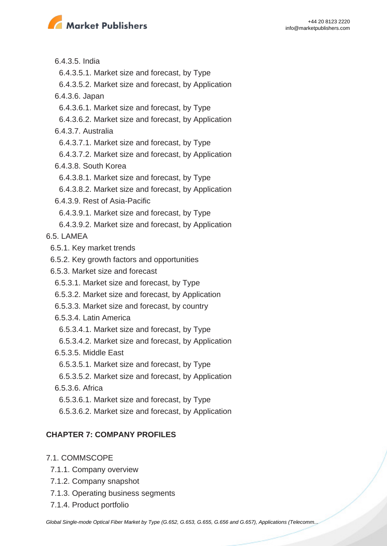

6.4.3.5. India

- 6.4.3.5.1. Market size and forecast, by Type
- 6.4.3.5.2. Market size and forecast, by Application
- 6.4.3.6. Japan
- 6.4.3.6.1. Market size and forecast, by Type
- 6.4.3.6.2. Market size and forecast, by Application
- 6.4.3.7. Australia
- 6.4.3.7.1. Market size and forecast, by Type
- 6.4.3.7.2. Market size and forecast, by Application
- 6.4.3.8. South Korea
- 6.4.3.8.1. Market size and forecast, by Type
- 6.4.3.8.2. Market size and forecast, by Application
- 6.4.3.9. Rest of Asia-Pacific
- 6.4.3.9.1. Market size and forecast, by Type
- 6.4.3.9.2. Market size and forecast, by Application

6.5. LAMEA

- 6.5.1. Key market trends
- 6.5.2. Key growth factors and opportunities
- 6.5.3. Market size and forecast
- 6.5.3.1. Market size and forecast, by Type
- 6.5.3.2. Market size and forecast, by Application
- 6.5.3.3. Market size and forecast, by country
- 6.5.3.4. Latin America
- 6.5.3.4.1. Market size and forecast, by Type
- 6.5.3.4.2. Market size and forecast, by Application
- 6.5.3.5. Middle East
- 6.5.3.5.1. Market size and forecast, by Type
- 6.5.3.5.2. Market size and forecast, by Application
- 6.5.3.6. Africa
	- 6.5.3.6.1. Market size and forecast, by Type
- 6.5.3.6.2. Market size and forecast, by Application

## **CHAPTER 7: COMPANY PROFILES**

- 7.1. COMMSCOPE
	- 7.1.1. Company overview
	- 7.1.2. Company snapshot
	- 7.1.3. Operating business segments
	- 7.1.4. Product portfolio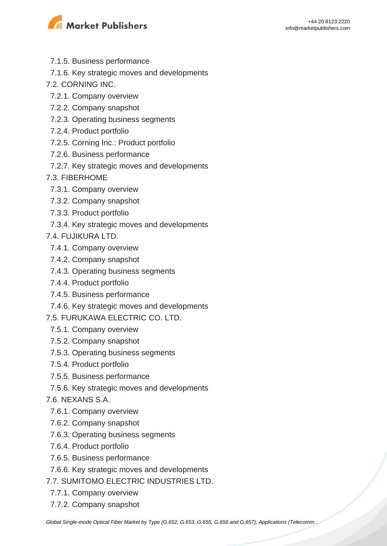



- 7.1.5. Business performance
- 7.1.6. Key strategic moves and developments
- 7.2. CORNING INC.
	- 7.2.1. Company overview
	- 7.2.2. Company snapshot
	- 7.2.3. Operating business segments
	- 7.2.4. Product portfolio
	- 7.2.5. Corning Inc.: Product portfolio
	- 7.2.6. Business performance
	- 7.2.7. Key strategic moves and developments

#### 7.3. FIBERHOME

- 7.3.1. Company overview
- 7.3.2. Company snapshot
- 7.3.3. Product portfolio
- 7.3.4. Key strategic moves and developments

7.4. FUJIKURA LTD.

- 7.4.1. Company overview
- 7.4.2. Company snapshot
- 7.4.3. Operating business segments
- 7.4.4. Product portfolio
- 7.4.5. Business performance
- 7.4.6. Key strategic moves and developments

#### 7.5. FURUKAWA ELECTRIC CO. LTD.

- 7.5.1. Company overview
- 7.5.2. Company snapshot
- 7.5.3. Operating business segments
- 7.5.4. Product portfolio
- 7.5.5. Business performance
- 7.5.6. Key strategic moves and developments
- 7.6. NEXANS S.A.
	- 7.6.1. Company overview
	- 7.6.2. Company snapshot
	- 7.6.3. Operating business segments
	- 7.6.4. Product portfolio
	- 7.6.5. Business performance
	- 7.6.6. Key strategic moves and developments
- 7.7. SUMITOMO ELECTRIC INDUSTRIES LTD.
	- 7.7.1. Company overview
	- 7.7.2. Company snapshot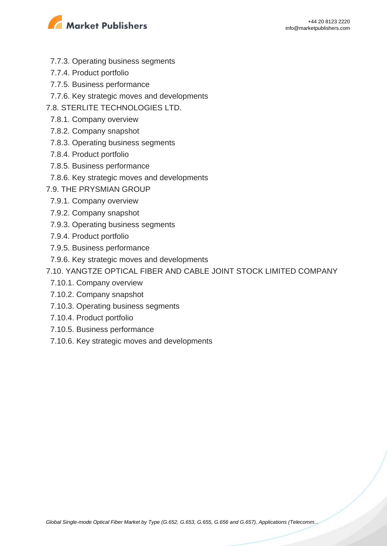

- 7.7.3. Operating business segments
- 7.7.4. Product portfolio
- 7.7.5. Business performance
- 7.7.6. Key strategic moves and developments
- 7.8. STERLITE TECHNOLOGIES LTD.
	- 7.8.1. Company overview
	- 7.8.2. Company snapshot
	- 7.8.3. Operating business segments
	- 7.8.4. Product portfolio
	- 7.8.5. Business performance
- 7.8.6. Key strategic moves and developments
- 7.9. THE PRYSMIAN GROUP
	- 7.9.1. Company overview
	- 7.9.2. Company snapshot
	- 7.9.3. Operating business segments
	- 7.9.4. Product portfolio
	- 7.9.5. Business performance
	- 7.9.6. Key strategic moves and developments
- 7.10. YANGTZE OPTICAL FIBER AND CABLE JOINT STOCK LIMITED COMPANY
- 7.10.1. Company overview
- 7.10.2. Company snapshot
- 7.10.3. Operating business segments
- 7.10.4. Product portfolio
- 7.10.5. Business performance
- 7.10.6. Key strategic moves and developments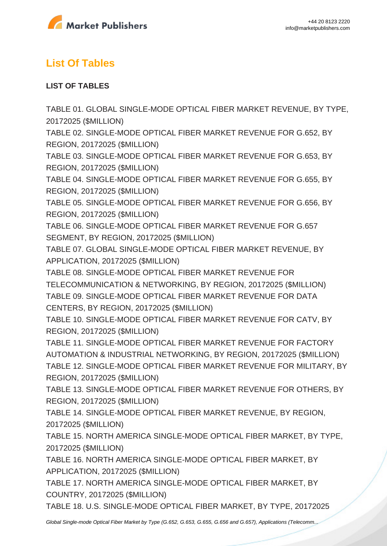



# **List Of Tables**

### **LIST OF TABLES**

TABLE 01. GLOBAL SINGLE-MODE OPTICAL FIBER MARKET REVENUE, BY TYPE, 20172025 (\$MILLION)

TABLE 02. SINGLE-MODE OPTICAL FIBER MARKET REVENUE FOR G.652, BY REGION, 20172025 (\$MILLION)

TABLE 03. SINGLE-MODE OPTICAL FIBER MARKET REVENUE FOR G.653, BY REGION, 20172025 (\$MILLION)

TABLE 04. SINGLE-MODE OPTICAL FIBER MARKET REVENUE FOR G.655, BY REGION, 20172025 (\$MILLION)

TABLE 05. SINGLE-MODE OPTICAL FIBER MARKET REVENUE FOR G.656, BY REGION, 20172025 (\$MILLION)

TABLE 06. SINGLE-MODE OPTICAL FIBER MARKET REVENUE FOR G.657 SEGMENT, BY REGION, 20172025 (\$MILLION)

TABLE 07. GLOBAL SINGLE-MODE OPTICAL FIBER MARKET REVENUE, BY APPLICATION, 20172025 (\$MILLION)

TABLE 08. SINGLE-MODE OPTICAL FIBER MARKET REVENUE FOR TELECOMMUNICATION & NETWORKING, BY REGION, 20172025 (\$MILLION) TABLE 09. SINGLE-MODE OPTICAL FIBER MARKET REVENUE FOR DATA CENTERS, BY REGION, 20172025 (\$MILLION)

TABLE 10. SINGLE-MODE OPTICAL FIBER MARKET REVENUE FOR CATV, BY REGION, 20172025 (\$MILLION)

TABLE 11. SINGLE-MODE OPTICAL FIBER MARKET REVENUE FOR FACTORY AUTOMATION & INDUSTRIAL NETWORKING, BY REGION, 20172025 (\$MILLION) TABLE 12. SINGLE-MODE OPTICAL FIBER MARKET REVENUE FOR MILITARY, BY REGION, 20172025 (\$MILLION)

TABLE 13. SINGLE-MODE OPTICAL FIBER MARKET REVENUE FOR OTHERS, BY REGION, 20172025 (\$MILLION)

TABLE 14. SINGLE-MODE OPTICAL FIBER MARKET REVENUE, BY REGION, 20172025 (\$MILLION)

TABLE 15. NORTH AMERICA SINGLE-MODE OPTICAL FIBER MARKET, BY TYPE, 20172025 (\$MILLION)

TABLE 16. NORTH AMERICA SINGLE-MODE OPTICAL FIBER MARKET, BY APPLICATION, 20172025 (\$MILLION)

TABLE 17. NORTH AMERICA SINGLE-MODE OPTICAL FIBER MARKET, BY COUNTRY, 20172025 (\$MILLION)

TABLE 18. U.S. SINGLE-MODE OPTICAL FIBER MARKET, BY TYPE, 20172025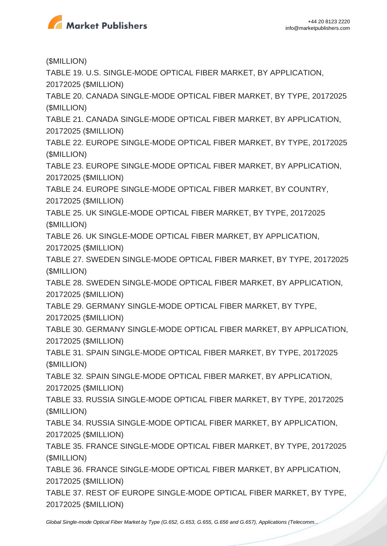

(\$MILLION)

TABLE 19. U.S. SINGLE-MODE OPTICAL FIBER MARKET, BY APPLICATION, 20172025 (\$MILLION)

TABLE 20. CANADA SINGLE-MODE OPTICAL FIBER MARKET, BY TYPE, 20172025 (\$MILLION)

TABLE 21. CANADA SINGLE-MODE OPTICAL FIBER MARKET, BY APPLICATION, 20172025 (\$MILLION)

TABLE 22. EUROPE SINGLE-MODE OPTICAL FIBER MARKET, BY TYPE, 20172025 (\$MILLION)

TABLE 23. EUROPE SINGLE-MODE OPTICAL FIBER MARKET, BY APPLICATION, 20172025 (\$MILLION)

TABLE 24. EUROPE SINGLE-MODE OPTICAL FIBER MARKET, BY COUNTRY, 20172025 (\$MILLION)

TABLE 25. UK SINGLE-MODE OPTICAL FIBER MARKET, BY TYPE, 20172025 (\$MILLION)

TABLE 26. UK SINGLE-MODE OPTICAL FIBER MARKET, BY APPLICATION, 20172025 (\$MILLION)

TABLE 27. SWEDEN SINGLE-MODE OPTICAL FIBER MARKET, BY TYPE, 20172025 (\$MILLION)

TABLE 28. SWEDEN SINGLE-MODE OPTICAL FIBER MARKET, BY APPLICATION, 20172025 (\$MILLION)

TABLE 29. GERMANY SINGLE-MODE OPTICAL FIBER MARKET, BY TYPE,

20172025 (\$MILLION)

TABLE 30. GERMANY SINGLE-MODE OPTICAL FIBER MARKET, BY APPLICATION, 20172025 (\$MILLION)

TABLE 31. SPAIN SINGLE-MODE OPTICAL FIBER MARKET, BY TYPE, 20172025 (\$MILLION)

TABLE 32. SPAIN SINGLE-MODE OPTICAL FIBER MARKET, BY APPLICATION, 20172025 (\$MILLION)

TABLE 33. RUSSIA SINGLE-MODE OPTICAL FIBER MARKET, BY TYPE, 20172025 (\$MILLION)

TABLE 34. RUSSIA SINGLE-MODE OPTICAL FIBER MARKET, BY APPLICATION, 20172025 (\$MILLION)

TABLE 35. FRANCE SINGLE-MODE OPTICAL FIBER MARKET, BY TYPE, 20172025 (\$MILLION)

TABLE 36. FRANCE SINGLE-MODE OPTICAL FIBER MARKET, BY APPLICATION, 20172025 (\$MILLION)

TABLE 37. REST OF EUROPE SINGLE-MODE OPTICAL FIBER MARKET, BY TYPE, 20172025 (\$MILLION)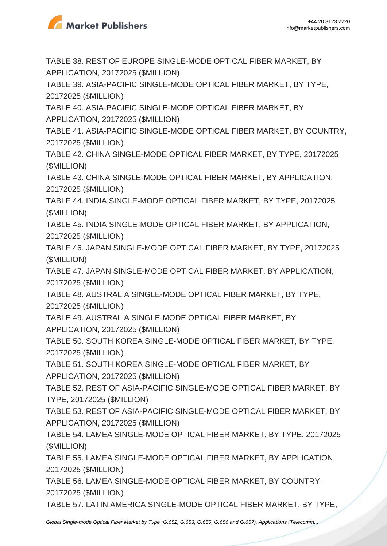

TABLE 38. REST OF EUROPE SINGLE-MODE OPTICAL FIBER MARKET, BY APPLICATION, 20172025 (\$MILLION)

TABLE 39. ASIA-PACIFIC SINGLE-MODE OPTICAL FIBER MARKET, BY TYPE, 20172025 (\$MILLION)

TABLE 40. ASIA-PACIFIC SINGLE-MODE OPTICAL FIBER MARKET, BY APPLICATION, 20172025 (\$MILLION)

TABLE 41. ASIA-PACIFIC SINGLE-MODE OPTICAL FIBER MARKET, BY COUNTRY, 20172025 (\$MILLION)

TABLE 42. CHINA SINGLE-MODE OPTICAL FIBER MARKET, BY TYPE, 20172025 (\$MILLION)

TABLE 43. CHINA SINGLE-MODE OPTICAL FIBER MARKET, BY APPLICATION, 20172025 (\$MILLION)

TABLE 44. INDIA SINGLE-MODE OPTICAL FIBER MARKET, BY TYPE, 20172025 (\$MILLION)

TABLE 45. INDIA SINGLE-MODE OPTICAL FIBER MARKET, BY APPLICATION, 20172025 (\$MILLION)

TABLE 46. JAPAN SINGLE-MODE OPTICAL FIBER MARKET, BY TYPE, 20172025 (\$MILLION)

TABLE 47. JAPAN SINGLE-MODE OPTICAL FIBER MARKET, BY APPLICATION, 20172025 (\$MILLION)

TABLE 48. AUSTRALIA SINGLE-MODE OPTICAL FIBER MARKET, BY TYPE, 20172025 (\$MILLION)

TABLE 49. AUSTRALIA SINGLE-MODE OPTICAL FIBER MARKET, BY APPLICATION, 20172025 (\$MILLION)

TABLE 50. SOUTH KOREA SINGLE-MODE OPTICAL FIBER MARKET, BY TYPE, 20172025 (\$MILLION)

TABLE 51. SOUTH KOREA SINGLE-MODE OPTICAL FIBER MARKET, BY APPLICATION, 20172025 (\$MILLION)

TABLE 52. REST OF ASIA-PACIFIC SINGLE-MODE OPTICAL FIBER MARKET, BY TYPE, 20172025 (\$MILLION)

TABLE 53. REST OF ASIA-PACIFIC SINGLE-MODE OPTICAL FIBER MARKET, BY APPLICATION, 20172025 (\$MILLION)

TABLE 54. LAMEA SINGLE-MODE OPTICAL FIBER MARKET, BY TYPE, 20172025 (\$MILLION)

TABLE 55. LAMEA SINGLE-MODE OPTICAL FIBER MARKET, BY APPLICATION, 20172025 (\$MILLION)

TABLE 56. LAMEA SINGLE-MODE OPTICAL FIBER MARKET, BY COUNTRY, 20172025 (\$MILLION)

TABLE 57. LATIN AMERICA SINGLE-MODE OPTICAL FIBER MARKET, BY TYPE,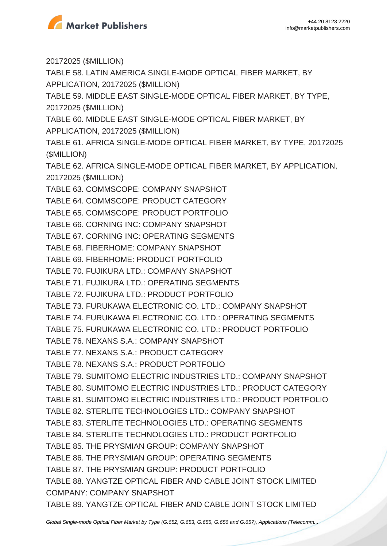

20172025 (\$MILLION) TABLE 58. LATIN AMERICA SINGLE-MODE OPTICAL FIBER MARKET, BY APPLICATION, 20172025 (\$MILLION) TABLE 59. MIDDLE EAST SINGLE-MODE OPTICAL FIBER MARKET, BY TYPE, 20172025 (\$MILLION) TABLE 60. MIDDLE EAST SINGLE-MODE OPTICAL FIBER MARKET, BY APPLICATION, 20172025 (\$MILLION) TABLE 61. AFRICA SINGLE-MODE OPTICAL FIBER MARKET, BY TYPE, 20172025 (\$MILLION) TABLE 62. AFRICA SINGLE-MODE OPTICAL FIBER MARKET, BY APPLICATION, 20172025 (\$MILLION) TABLE 63. COMMSCOPE: COMPANY SNAPSHOT TABLE 64. COMMSCOPE: PRODUCT CATEGORY TABLE 65. COMMSCOPE: PRODUCT PORTFOLIO TABLE 66. CORNING INC: COMPANY SNAPSHOT TABLE 67. CORNING INC: OPERATING SEGMENTS TABLE 68. FIBERHOME: COMPANY SNAPSHOT TABLE 69. FIBERHOME: PRODUCT PORTFOLIO TABLE 70. FUJIKURA LTD.: COMPANY SNAPSHOT TABLE 71. FUJIKURA LTD.: OPERATING SEGMENTS TABLE 72. FUJIKURA LTD.: PRODUCT PORTFOLIO TABLE 73. FURUKAWA ELECTRONIC CO. LTD.: COMPANY SNAPSHOT TABLE 74. FURUKAWA ELECTRONIC CO. LTD.: OPERATING SEGMENTS TABLE 75. FURUKAWA ELECTRONIC CO. LTD.: PRODUCT PORTFOLIO TABLE 76. NEXANS S.A.: COMPANY SNAPSHOT TABLE 77. NEXANS S.A.: PRODUCT CATEGORY TABLE 78. NEXANS S.A.: PRODUCT PORTFOLIO TABLE 79. SUMITOMO ELECTRIC INDUSTRIES LTD.: COMPANY SNAPSHOT TABLE 80. SUMITOMO ELECTRIC INDUSTRIES LTD.: PRODUCT CATEGORY TABLE 81. SUMITOMO ELECTRIC INDUSTRIES LTD.: PRODUCT PORTFOLIO TABLE 82. STERLITE TECHNOLOGIES LTD.: COMPANY SNAPSHOT TABLE 83. STERLITE TECHNOLOGIES LTD.: OPERATING SEGMENTS TABLE 84. STERLITE TECHNOLOGIES LTD.: PRODUCT PORTFOLIO TABLE 85. THE PRYSMIAN GROUP: COMPANY SNAPSHOT TABLE 86. THE PRYSMIAN GROUP: OPERATING SEGMENTS TABLE 87. THE PRYSMIAN GROUP: PRODUCT PORTFOLIO TABLE 88. YANGTZE OPTICAL FIBER AND CABLE JOINT STOCK LIMITED COMPANY: COMPANY SNAPSHOT TABLE 89. YANGTZE OPTICAL FIBER AND CABLE JOINT STOCK LIMITED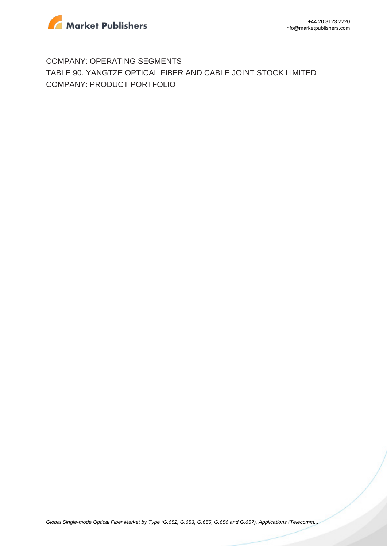

COMPANY: OPERATING SEGMENTS TABLE 90. YANGTZE OPTICAL FIBER AND CABLE JOINT STOCK LIMITED COMPANY: PRODUCT PORTFOLIO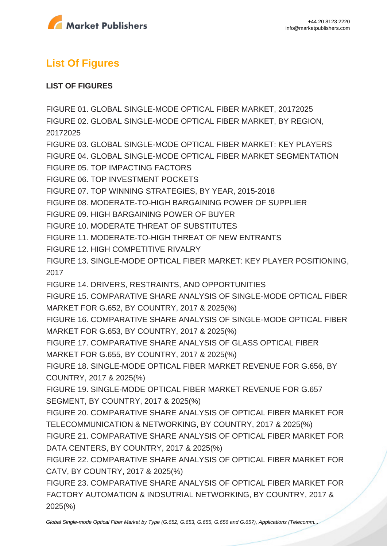

# **List Of Figures**

## **LIST OF FIGURES**

FIGURE 01. GLOBAL SINGLE-MODE OPTICAL FIBER MARKET, 20172025 FIGURE 02. GLOBAL SINGLE-MODE OPTICAL FIBER MARKET, BY REGION, 20172025 FIGURE 03. GLOBAL SINGLE-MODE OPTICAL FIBER MARKET: KEY PLAYERS FIGURE 04. GLOBAL SINGLE-MODE OPTICAL FIBER MARKET SEGMENTATION FIGURE 05. TOP IMPACTING FACTORS FIGURE 06. TOP INVESTMENT POCKETS FIGURE 07. TOP WINNING STRATEGIES, BY YEAR, 2015-2018 FIGURE 08. MODERATE-TO-HIGH BARGAINING POWER OF SUPPLIER FIGURE 09. HIGH BARGAINING POWER OF BUYER FIGURE 10. MODERATE THREAT OF SUBSTITUTES FIGURE 11. MODERATE-TO-HIGH THREAT OF NEW ENTRANTS FIGURE 12. HIGH COMPETITIVE RIVALRY FIGURE 13. SINGLE-MODE OPTICAL FIBER MARKET: KEY PLAYER POSITIONING, 2017 FIGURE 14. DRIVERS, RESTRAINTS, AND OPPORTUNITIES FIGURE 15. COMPARATIVE SHARE ANALYSIS OF SINGLE-MODE OPTICAL FIBER MARKET FOR G.652, BY COUNTRY, 2017 & 2025(%) FIGURE 16. COMPARATIVE SHARE ANALYSIS OF SINGLE-MODE OPTICAL FIBER MARKET FOR G.653, BY COUNTRY, 2017 & 2025(%) FIGURE 17. COMPARATIVE SHARE ANALYSIS OF GLASS OPTICAL FIBER MARKET FOR G.655, BY COUNTRY, 2017 & 2025(%) FIGURE 18. SINGLE-MODE OPTICAL FIBER MARKET REVENUE FOR G.656, BY COUNTRY, 2017 & 2025(%) FIGURE 19. SINGLE-MODE OPTICAL FIBER MARKET REVENUE FOR G.657 SEGMENT, BY COUNTRY, 2017 & 2025(%) FIGURE 20. COMPARATIVE SHARE ANALYSIS OF OPTICAL FIBER MARKET FOR TELECOMMUNICATION & NETWORKING, BY COUNTRY, 2017 & 2025(%) FIGURE 21. COMPARATIVE SHARE ANALYSIS OF OPTICAL FIBER MARKET FOR DATA CENTERS, BY COUNTRY, 2017 & 2025(%) FIGURE 22. COMPARATIVE SHARE ANALYSIS OF OPTICAL FIBER MARKET FOR CATV, BY COUNTRY, 2017 & 2025(%) FIGURE 23. COMPARATIVE SHARE ANALYSIS OF OPTICAL FIBER MARKET FOR FACTORY AUTOMATION & INDSUTRIAL NETWORKING, BY COUNTRY, 2017 & 2025(%)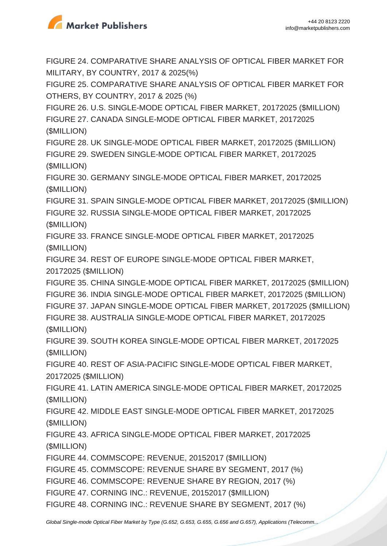

FIGURE 24. COMPARATIVE SHARE ANALYSIS OF OPTICAL FIBER MARKET FOR MILITARY, BY COUNTRY, 2017 & 2025(%)

FIGURE 25. COMPARATIVE SHARE ANALYSIS OF OPTICAL FIBER MARKET FOR OTHERS, BY COUNTRY, 2017 & 2025 (%)

FIGURE 26. U.S. SINGLE-MODE OPTICAL FIBER MARKET, 20172025 (\$MILLION) FIGURE 27. CANADA SINGLE-MODE OPTICAL FIBER MARKET, 20172025 (\$MILLION)

FIGURE 28. UK SINGLE-MODE OPTICAL FIBER MARKET, 20172025 (\$MILLION) FIGURE 29. SWEDEN SINGLE-MODE OPTICAL FIBER MARKET, 20172025 (\$MILLION)

FIGURE 30. GERMANY SINGLE-MODE OPTICAL FIBER MARKET, 20172025 (\$MILLION)

FIGURE 31. SPAIN SINGLE-MODE OPTICAL FIBER MARKET, 20172025 (\$MILLION)

FIGURE 32. RUSSIA SINGLE-MODE OPTICAL FIBER MARKET, 20172025 (\$MILLION)

FIGURE 33. FRANCE SINGLE-MODE OPTICAL FIBER MARKET, 20172025 (\$MILLION)

FIGURE 34. REST OF EUROPE SINGLE-MODE OPTICAL FIBER MARKET, 20172025 (\$MILLION)

FIGURE 35. CHINA SINGLE-MODE OPTICAL FIBER MARKET, 20172025 (\$MILLION) FIGURE 36. INDIA SINGLE-MODE OPTICAL FIBER MARKET, 20172025 (\$MILLION) FIGURE 37. JAPAN SINGLE-MODE OPTICAL FIBER MARKET, 20172025 (\$MILLION) FIGURE 38. AUSTRALIA SINGLE-MODE OPTICAL FIBER MARKET, 20172025 (\$MILLION)

FIGURE 39. SOUTH KOREA SINGLE-MODE OPTICAL FIBER MARKET, 20172025 (\$MILLION)

FIGURE 40. REST OF ASIA-PACIFIC SINGLE-MODE OPTICAL FIBER MARKET, 20172025 (\$MILLION)

FIGURE 41. LATIN AMERICA SINGLE-MODE OPTICAL FIBER MARKET, 20172025 (\$MILLION)

FIGURE 42. MIDDLE EAST SINGLE-MODE OPTICAL FIBER MARKET, 20172025 (\$MILLION)

FIGURE 43. AFRICA SINGLE-MODE OPTICAL FIBER MARKET, 20172025 (\$MILLION)

FIGURE 44. COMMSCOPE: REVENUE, 20152017 (\$MILLION)

FIGURE 45. COMMSCOPE: REVENUE SHARE BY SEGMENT, 2017 (%)

FIGURE 46. COMMSCOPE: REVENUE SHARE BY REGION, 2017 (%)

FIGURE 47. CORNING INC.: REVENUE, 20152017 (\$MILLION)

FIGURE 48. CORNING INC.: REVENUE SHARE BY SEGMENT, 2017 (%)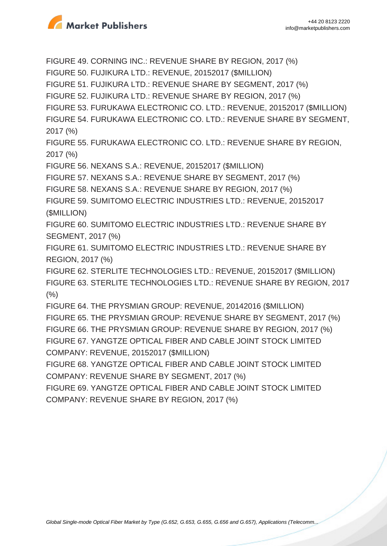

FIGURE 49. CORNING INC.: REVENUE SHARE BY REGION, 2017 (%) FIGURE 50. FUJIKURA LTD.: REVENUE, 20152017 (\$MILLION) FIGURE 51. FUJIKURA LTD.: REVENUE SHARE BY SEGMENT, 2017 (%) FIGURE 52. FUJIKURA LTD.: REVENUE SHARE BY REGION, 2017 (%) FIGURE 53. FURUKAWA ELECTRONIC CO. LTD.: REVENUE, 20152017 (\$MILLION) FIGURE 54. FURUKAWA ELECTRONIC CO. LTD.: REVENUE SHARE BY SEGMENT, 2017 (%) FIGURE 55. FURUKAWA ELECTRONIC CO. LTD.: REVENUE SHARE BY REGION,  $2017 (%)$ FIGURE 56. NEXANS S.A.: REVENUE, 20152017 (\$MILLION) FIGURE 57. NEXANS S.A.: REVENUE SHARE BY SEGMENT, 2017 (%) FIGURE 58. NEXANS S.A.: REVENUE SHARE BY REGION, 2017 (%) FIGURE 59. SUMITOMO ELECTRIC INDUSTRIES LTD.: REVENUE, 20152017 (\$MILLION) FIGURE 60. SUMITOMO ELECTRIC INDUSTRIES LTD.: REVENUE SHARE BY SEGMENT, 2017 (%) FIGURE 61. SUMITOMO ELECTRIC INDUSTRIES LTD.: REVENUE SHARE BY REGION, 2017 (%) FIGURE 62. STERLITE TECHNOLOGIES LTD.: REVENUE, 20152017 (\$MILLION) FIGURE 63. STERLITE TECHNOLOGIES LTD.: REVENUE SHARE BY REGION, 2017  $(% )$ FIGURE 64. THE PRYSMIAN GROUP: REVENUE, 20142016 (\$MILLION) FIGURE 65. THE PRYSMIAN GROUP: REVENUE SHARE BY SEGMENT, 2017 (%) FIGURE 66. THE PRYSMIAN GROUP: REVENUE SHARE BY REGION, 2017 (%) FIGURE 67. YANGTZE OPTICAL FIBER AND CABLE JOINT STOCK LIMITED COMPANY: REVENUE, 20152017 (\$MILLION) FIGURE 68. YANGTZE OPTICAL FIBER AND CABLE JOINT STOCK LIMITED COMPANY: REVENUE SHARE BY SEGMENT, 2017 (%) FIGURE 69. YANGTZE OPTICAL FIBER AND CABLE JOINT STOCK LIMITED COMPANY: REVENUE SHARE BY REGION, 2017 (%)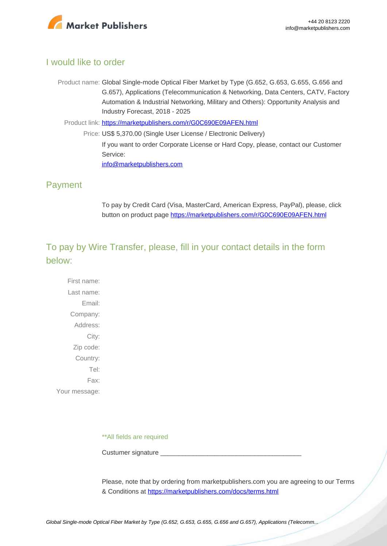

### I would like to order

- Product name: Global Single-mode Optical Fiber Market by Type (G.652, G.653, G.655, G.656 and G.657), Applications (Telecommunication & Networking, Data Centers, CATV, Factory Automation & Industrial Networking, Military and Others): Opportunity Analysis and Industry Forecast, 2018 - 2025
	- Product link: [https://marketpublishers.com/r/G0C690E09AFEN.html](https://marketpublishers.com/report/hardware/networking_hardware/global-single-mode-optical-fiber-market-by-type-applications-opportunity-analysis-industry-2018-2025.html)
		- Price: US\$ 5,370.00 (Single User License / Electronic Delivery) If you want to order Corporate License or Hard Copy, please, contact our Customer Service: [info@marketpublishers.com](mailto:info@marketpublishers.com)

## Payment

To pay by Credit Card (Visa, MasterCard, American Express, PayPal), please, click button on product page [https://marketpublishers.com/r/G0C690E09AFEN.html](https://marketpublishers.com/report/hardware/networking_hardware/global-single-mode-optical-fiber-market-by-type-applications-opportunity-analysis-industry-2018-2025.html)

# To pay by Wire Transfer, please, fill in your contact details in the form below:

First name: Last name: Email: Company: Address: City: Zip code: Country: Tel: Fax: Your message:

\*\*All fields are required

Custumer signature \_\_\_\_\_\_\_\_\_\_\_\_\_\_\_\_\_\_\_\_\_\_\_\_\_\_\_\_\_\_\_\_\_\_\_\_\_\_\_

Please, note that by ordering from marketpublishers.com you are agreeing to our Terms & Conditions at<https://marketpublishers.com/docs/terms.html>